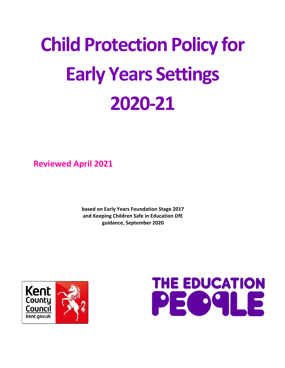# **Child Protection Policy for Early Years Settings 2020-21**

**Reviewed April 2021**

**based on Early Years Foundation Stage 2017 and Keeping Children Safe in Education DfE guidance, September 2020**



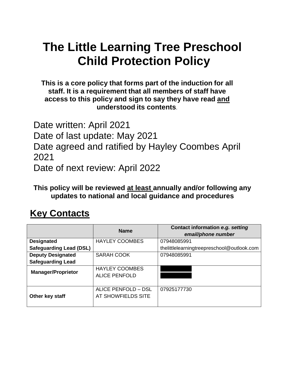# **The Little Learning Tree Preschool Child Protection Policy**

**This is a core policy that forms part of the induction for all staff. It is a requirement that all members of staff have access to this policy and sign to say they have read and understood its contents**.

Date written: April 2021 Date of last update: May 2021 Date agreed and ratified by Hayley Coombes April 2021 Date of next review: April 2022

**This policy will be reviewed at least annually and/or following any updates to national and local guidance and procedures**

# **Key Contacts**

|                                | <b>Name</b>                                   | Contact information e.g. setting<br>email/phone number |
|--------------------------------|-----------------------------------------------|--------------------------------------------------------|
| <b>Designated</b>              | <b>HAYLEY COOMBES</b>                         | 07948085991                                            |
| <b>Safeguarding Lead (DSL)</b> |                                               | thelittlelearningtreepreschool@outlook.com             |
| <b>Deputy Designated</b>       | <b>SARAH COOK</b>                             | 07948085991                                            |
| <b>Safeguarding Lead</b>       |                                               |                                                        |
| <b>Manager/Proprietor</b>      | <b>HAYLEY COOMBES</b><br><b>ALICE PENFOLD</b> |                                                        |
| Other key staff                | ALICE PENFOLD - DSL<br>AT SHOWFIELDS SITE     | 07925177730                                            |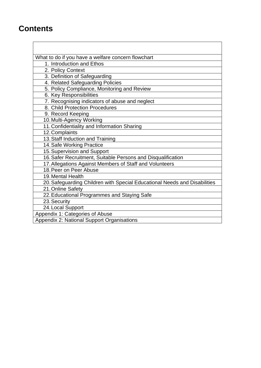## **Contents**

What to do if you have a welfare concern flowchart

- 1. Introduction and Ethos
- 2. Policy Context

3. Definition of Safeguarding

4. Related Safeguarding Policies

5. Policy Compliance, Monitoring and Review

6. Key Responsibilities

7. Recognising indicators of abuse and neglect

- 8. Child Protection Procedures
- 9. Record Keeping

10.Multi-Agency Working

11.Confidentiality and Information Sharing

- 12.Complaints
- 13.Staff Induction and Training

14.Safe Working Practice

15.Supervision and Support

16.Safer Recruitment, Suitable Persons and Disqualification

17.Allegations Against Members of Staff and Volunteers

18.Peer on Peer Abuse

19.Mental Health

20.Safeguarding Children with Special Educational Needs and Disabilities

21.Online Safety

22.Educational Programmes and Staying Safe

23.Security

24.Local Support

Appendix 1: Categories of Abuse

Appendix 2: National Support Organisations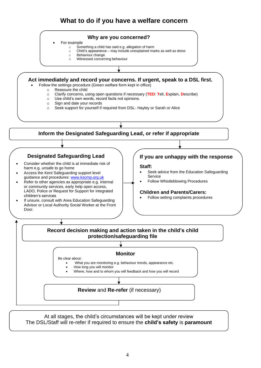#### **What to do if you have a welfare concern**



For example

- $\circ$  Something a child has said e.g. allegation of harm
- o Child's appearance may include unexplained marks as well as dress
- o Behaviour change
- o Witnessed concerning behaviour

#### **Act immediately and record your concerns. If urgent, speak to a DSL first.**

- Follow the settings procedure (Green welfare form kept in office)
	- o Reassure the child
	- o Clarify concerns, using open questions if necessary (**TED**: **T**ell, **E**xplain, **D**escribe)
	- o Use child's own words, record facts not opinions.
	- o Sign and date your records
	- o Seek support for yourself if required from DSL- Hayley or Sarah or Alice



At all stages, the child's circumstances will be kept under review The DSL/Staff will re-refer if required to ensure the **child's safety** is **paramount**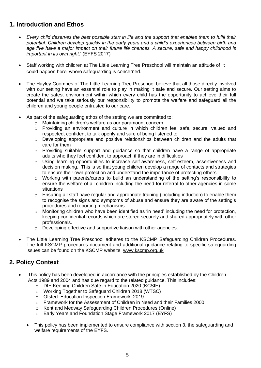#### **1. Introduction and Ethos**

- *Every child deserves the best possible start in life and the support that enables them to fulfil their potential. Children develop quickly in the early years and a child's experiences between birth and age five have a major impact on their future life chances. A secure, safe and happy childhood is important in its own right*.' (EYFS 2017)
- Staff working with children at The Little Learning Tree Preschool will maintain an attitude of 'it could happen here' where safeguarding is concerned.
- The Hayley Coombes of The Little Learning Tree Preschool believe that all those directly involved with our setting have an essential role to play in making it safe and secure. Our setting aims to create the safest environment within which every child has the opportunity to achieve their full potential and we take seriously our responsibility to promote the welfare and safeguard all the children and young people entrusted to our care.
- As part of the safeguarding ethos of the setting we are committed to:
	- o Maintaining children's welfare as our paramount concern
	- o Providing an environment and culture in which children feel safe, secure, valued and respected, confident to talk openly and sure of being listened to
	- o Developing appropriate and positive relationships between children and the adults that care for them
	- o Providing suitable support and guidance so that children have a range of appropriate adults who they feel confident to approach if they are in difficulties
	- o Using learning opportunities to increase self-awareness, self-esteem, assertiveness and decision making. This is so that young children develop a range of contacts and strategies to ensure their own protection and understand the importance of protecting others
	- $\circ$  Working with parents/carers to build an understanding of the setting's responsibility to ensure the welfare of all children including the need for referral to other agencies in some situations
	- $\circ$  Ensuring all staff have regular and appropriate training (including induction) to enable them to recognise the signs and symptoms of abuse and ensure they are aware of the setting's procedures and reporting mechanisms
	- o Monitoring children who have been identified as 'in need' including the need for protection, keeping confidential records which are stored securely and shared appropriately with other professionals.
	- o Developing effective and supportive liaison with other agencies.
- The Little Learning Tree Preschool adheres to the KSCMP Safeguarding Children Procedures. The full KSCMP procedures document and additional guidance relating to specific safeguarding issues can be found on the KSCMP website: [www.kscmp.org.uk](http://www.kscmp.org.uk/)

#### **2. Policy Context**

- This policy has been developed in accordance with the principles established by the Children Acts 1989 and 2004 and has due regard to the related guidance. This includes:
	- o DfE Keeping Children Safe in Education 2020 (KCSIE)
	- o Working Together to Safeguard Children 2018 (WTSC)
	- o Ofsted: Education Inspection Framework' 2019
	- o Framework for the Assessment of Children in Need and their Families 2000
	- o Kent and Medway Safeguarding Children Procedures (Online)
	- o Early Years and Foundation Stage Framework 2017 (EYFS)
	- This policy has been implemented to ensure compliance with section 3, the safeguarding and welfare requirements of the EYFS.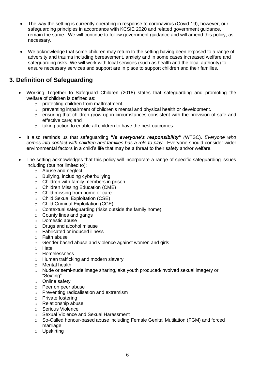- The way the setting is currently operating in response to coronavirus (Covid-19), however, our safeguarding principles in accordance with KCSIE 2020 and related government guidance, remain the same. We will continue to follow government guidance and will amend this policy, as necessary.
- We acknowledge that some children may return to the setting having been exposed to a range of adversity and trauma including bereavement, anxiety and in some cases increased welfare and safeguarding risks. We will work with local services (such as health and the local authority) to ensure necessary services and support are in place to support children and their families.

#### **3. Definition of Safeguarding**

- Working Together to Safeguard Children (2018) states that safeguarding and promoting the welfare of children is defined as:
	- o protecting children from maltreatment.
	- $\circ$  preventing impairment of children's mental and physical health or development.
	- o ensuring that children grow up in circumstances consistent with the provision of safe and effective care; and
	- o taking action to enable all children to have the best outcomes.
- It also reminds us that safeguarding **"***is everyone's responsibility" (*WTSC). *Everyone who comes into contact with children and families has a role to play.* Everyone should consider wider environmental factors in a child's life that may be a threat to their safety and/or welfare.
- The setting acknowledges that this policy will incorporate a range of specific safeguarding issues including (but not limited to):
	- o Abuse and neglect
	- o Bullying, including cyberbullying
	- o Children with family members in prison
	- o Children Missing Education (CME)
	- o Child missing from home or care
	- o Child Sexual Exploitation (CSE)
	- o Child Criminal Exploitation (CCE)
	- o Contextual safeguarding (risks outside the family home)
	- o County lines and gangs
	- o Domestic abuse
	- o Drugs and alcohol misuse
	- o Fabricated or induced illness
	- o Faith abuse
	- o Gender based abuse and violence against women and girls
	- o Hate
	- o Homelessness
	- o Human trafficking and modern slavery
	- o Mental health
	- o Nude or semi-nude image sharing, aka youth produced/involved sexual imagery or "Sexting"
	- o Online safety
	- o Peer on peer abuse
	- o Preventing radicalisation and extremism
	- o Private fostering
	- o Relationship abuse
	- o Serious Violence
	- o Sexual Violence and Sexual Harassment
	- $\circ$  So-Called honour-based abuse including Female Genital Mutilation (FGM) and forced marriage
	- o Upskirting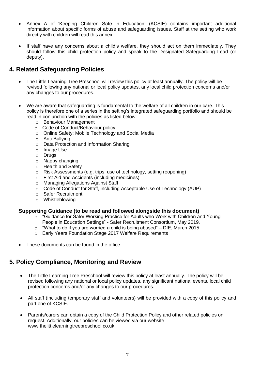- Annex A of 'Keeping Children Safe in Education' (KCSIE) contains important additional information about specific forms of abuse and safeguarding issues. Staff at the setting who work directly with children will read this annex.
- If staff have any concerns about a child's welfare, they should act on them immediately. They should follow this child protection policy and speak to the Designated Safeguarding Lead (or deputy).

#### **4. Related Safeguarding Policies**

- The Little Learning Tree Preschool will review this policy at least annually. The policy will be revised following any national or local policy updates, any local child protection concerns and/or any changes to our procedures.
- We are aware that safeguarding is fundamental to the welfare of all children in our care. This policy is therefore one of a series in the setting's integrated safeguarding portfolio and should be read in conjunction with the policies as listed below:
	- o Behaviour Management
	- o Code of Conduct/Behaviour policy
	- o Online Safety: Mobile Technology and Social Media
	- o Anti-Bullying
	- o Data Protection and Information Sharing
	- o Image Use
	- o Drugs
	- o Nappy changing
	- o Health and Safety
	- o Risk Assessments (e.g. trips, use of technology, setting reopening)
	- o First Aid and Accidents (including medicines)
	- o Managing Allegations Against Staff
	- o Code of Conduct for Staff, including Acceptable Use of Technology (AUP)
	- o Safer Recruitment
	- o Whistleblowing

#### **Supporting Guidance (to be read and followed alongside this document)**

- o "Guidance for Safer Working Practice for Adults who Work with Children and Young People in Education Settings" - Safer Recruitment Consortium, May 2019.
- "What to do if you are worried a child is being abused" DfE, March 2015
- o Early Years Foundation Stage 2017 Welfare Requirements
- These documents can be found in the office

#### **5. Policy Compliance, Monitoring and Review**

- The Little Learning Tree Preschool will review this policy at least annually. The policy will be revised following any national or local policy updates, any significant national events, local child protection concerns and/or any changes to our procedures.
- All staff (including temporary staff and volunteers) will be provided with a copy of this policy and part one of KCSIE.
- Parents/carers can obtain a copy of the Child Protection Policy and other related policies on request. Additionally, our policies can be viewed via our website www.thelittlelearningtreepreschool.co.uk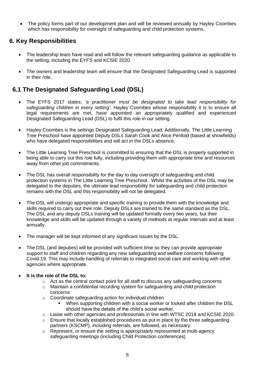• The policy forms part of our development plan and will be reviewed annually by Hayley Coombes which has responsibility for oversight of safeguarding and child protection systems.

#### **6. Key Responsibilities**

- The leadership team have read and will follow the relevant safeguarding guidance as applicable to the setting, including the EYFS and KCSIE 2020.
- The owners and leadership team will ensure that the Designated Safeguarding Lead is supported in their role.

#### **6.1 The Designated Safeguarding Lead (DSL)**

- The EYFS 2017 states; *'a practitioner must be designated to take lead responsibility for safeguarding children in every setting'.* Hayley Coombes whose responsibility it is to ensure all legal requirements are met, have appointed an appropriately qualified and experienced Designated Safeguarding Lead (DSL) to fulfil this role in our setting.
- Hayley Coombes is the settings Designated Safeguarding Lead. Additionally, The Little Learning Tree Preschool have appointed Deputy DSLs Sarah Cook and Alice Penfold (based at showfields) who have delegated responsibilities and will act in the DSLs absence.
- The Little Learning Tree Preschool is committed to ensuring that the DSL is properly supported in being able to carry out this role fully, including providing them with appropriate time and resources away from other job commitments.
- The DSL has overall responsibility for the day to day oversight of safeguarding and child protection systems in The Little Learning Tree Preschool. Whilst the activities of the DSL may be delegated to the deputies, the ultimate lead responsibility for safeguarding and child protection remains with the DSL and this responsibility will not be delegated.
- The DSL will undergo appropriate and specific training to provide them with the knowledge and skills required to carry out their role. Deputy DSLs are trained to the same standard as the DSL. The DSL and any deputy DSLs training will be updated formally every two years, but their knowledge and skills will be updated through a variety of methods at regular intervals and at least annually.
- The manager will be kept informed of any significant issues by the DSL.
- The DSL (and deputies) will be provided with sufficient time so they can provide appropriate support to staff and children regarding any new safeguarding and welfare concerns following Covid-19. This may include handling of referrals to integrated social care and working with other agencies where appropriate.

#### • **It is the role of the DSL to:**

- $\circ$  Act as the central contact point for all staff to discuss any safeguarding concerns
- $\circ$  Maintain a confidential recording system for safeguarding and child protection concerns
- o Coordinate safeguarding action for individual children
	- When supporting children with a social worker or looked after children the DSL should have the details of the child's social worker.
- $\circ$  Liaise with other agencies and professionals in line with WTSC 2018 and KCSIE 2020.
- $\circ$  Ensure that locally established procedures as put in place by the three safeguarding partners (KSCMP), including referrals, are followed, as necessary.
- $\circ$  Represent, or ensure the setting is appropriately represented at multi-agency safeguarding meetings (including Child Protection conferences)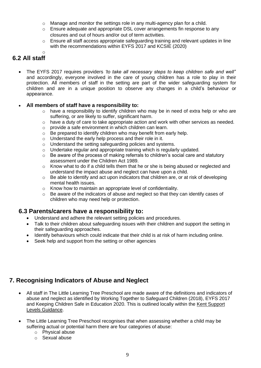- $\circ$  Manage and monitor the settings role in any multi-agency plan for a child.
- $\circ$  Ensure adequate and appropriate DSL cover arrangements fin response to any closures and out of hours and/or out of term activities.
- o Ensure all staff access appropriate safeguarding training and relevant updates in line with the recommendations within EYFS 2017 and KCSIE (2020)

#### o **6.2 All staff**

• The EYFS 2017 requires providers *'to take all necessary steps to keep children safe and well'*' and accordingly, everyone involved in the care of young children has a role to play in their protection. All members of staff in the setting are part of the wider safeguarding system for children and are in a unique position to observe any changes in a child's behaviour or appearance.

#### • **All members of staff have a responsibility to:**

- $\circ$  have a responsibility to identify children who may be in need of extra help or who are suffering, or are likely to suffer, significant harm.
- o have a duty of care to take appropriate action and work with other services as needed.
- o provide a safe environment in which children can learn.
- o Be prepared to identify children who may benefit from early help.
- o Understand the early help process and their role in it.
- o Understand the setting safeguarding policies and systems.
- o Undertake regular and appropriate training which is regularly updated.
- o Be aware of the process of making referrals to children's social care and statutory assessment under the Children Act 1989.
- $\circ$  Know what to do if a child tells them that he or she is being abused or neglected and understand the impact abuse and neglect can have upon a child.
- o Be able to identify and act upon indicators that children are, or at risk of developing mental health issues.
- o Know how to maintain an appropriate level of confidentiality.
- $\circ$  Be aware of the indicators of abuse and neglect so that they can identify cases of children who may need help or protection.

#### **6.3 Parents/carers have a responsibility to:**

- Understand and adhere the relevant setting policies and procedures.
- Talk to their children about safeguarding issues with their children and support the setting in their safeguarding approaches.
- Identify behaviours which could indicate that their child is at risk of harm including online.
- Seek help and support from the setting or other agencies

#### **7. Recognising Indicators of Abuse and Neglect**

- All staff in The Little Learning Tree Preschool are made aware of the definitions and indicators of abuse and neglect as identified by Working Together to Safeguard Children (2018), EYFS 2017 and Keeping Children Safe in Education 2020. This is outlined locally within the [Kent Support](https://www.kscmp.org.uk/guidance/kent-support-levels-guidance)  [Levels Guidance.](https://www.kscmp.org.uk/guidance/kent-support-levels-guidance)
- The Little Learning Tree Preschool recognises that when assessing whether a child may be suffering actual or potential harm there are four categories of abuse:
	- o Physical abuse
	- o Sexual abuse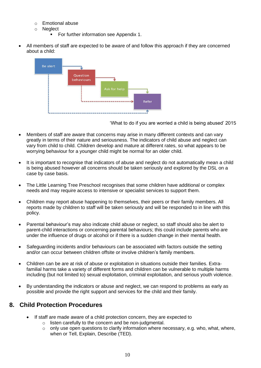- o Emotional abuse
- o Neglect
	- For further information see Appendix 1.
- All members of staff are expected to be aware of and follow this approach if they are concerned about a child:



'What to do if you are worried a child is being abused' 2015

- Members of staff are aware that concerns may arise in many different contexts and can vary greatly in terms of their nature and seriousness. The indicators of child abuse and neglect can vary from child to child. Children develop and mature at different rates, so what appears to be worrying behaviour for a younger child might be normal for an older child.
- It is important to recognise that indicators of abuse and neglect do not automatically mean a child is being abused however all concerns should be taken seriously and explored by the DSL on a case by case basis.
- The Little Learning Tree Preschool recognises that some children have additional or complex needs and may require access to intensive or specialist services to support them.
- Children may report abuse happening to themselves, their peers or their family members. All reports made by children to staff will be taken seriously and will be responded to in line with this policy.
- Parental behaviour's may also indicate child abuse or neglect, so staff should also be alert to parent-child interactions or concerning parental behaviours; this could include parents who are under the influence of drugs or alcohol or if there is a sudden change in their mental health.
- Safeguarding incidents and/or behaviours can be associated with factors outside the setting and/or can occur between children offsite or involve children's family members.
- Children can be are at risk of abuse or exploitation in situations outside their families. Extrafamilial harms take a variety of different forms and children can be vulnerable to multiple harms including (but not limited to) sexual exploitation, criminal exploitation, and serious youth violence.
- By understanding the indicators or abuse and neglect, we can respond to problems as early as possible and provide the right support and services for the child and their family.

#### **8. Child Protection Procedures**

- If staff are made aware of a child protection concern, they are expected to
	- o listen carefully to the concern and be non-judgmental.
	- $\circ$  only use open questions to clarify information where necessary, e.g. who, what, where, when or Tell, Explain, Describe (TED).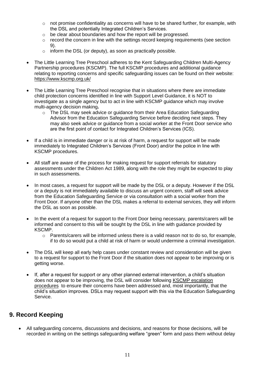- $\circ$  not promise confidentiality as concerns will have to be shared further, for example, with the DSL and potentially Integrated Children's Services.
- o be clear about boundaries and how the report will be progressed.
- o record the concern in line with the settings record keeping requirements (see section 9).
- o inform the DSL (or deputy), as soon as practically possible.
- The Little Learning Tree Preschool adheres to the Kent Safeguarding Children Multi-Agency Partnership procedures (KSCMP). The full KSCMP procedures and additional guidance relating to reporting concerns and specific safeguarding issues can be found on their website: <https://www.kscmp.org.uk/>
- The Little Learning Tree Preschool recognise that in situations where there are immediate child protection concerns identified in line with Support Level Guidance, it is NOT to investigate as a single agency but to act in line with KSCMP guidance which may involve multi-agency decision making**.** 
	- o The DSL may seek advice or guidance from their Area Education Safeguarding Advisor from the Education Safeguarding Service before deciding next steps. They may also seek advice or guidance from a social worker at the Front Door service who are the first point of contact for Integrated Children's Services (ICS).
- If a child is in immediate danger or is at risk of harm, a request for support will be made immediately to Integrated Children's Services (Front Door) and/or the police in line with KSCMP procedures.
- All staff are aware of the process for making request for support referrals for statutory assessments under the Children Act 1989, along with the role they might be expected to play in such assessments.
- In most cases, a request for support will be made by the DSL or a deputy. However if the DSL or a deputy is not immediately available to discuss an urgent concern, staff will seek advice from the Education Safeguarding Service or via consultation with a social worker from the Front Door. If anyone other than the DSL makes a referral to external services, they will inform the DSL as soon as possible.
- In the event of a request for support to the Front Door being necessary, parents/carers will be informed and consent to this will be sought by the DSL in line with guidance provided by KSCMP.
	- $\circ$  Parents/carers will be informed unless there is a valid reason not to do so, for example, if to do so would put a child at risk of harm or would undermine a criminal investigation.
- The DSL will keep all early help cases under constant review and consideration will be given to a request for support to the Front Door if the situation does not appear to be improving or is getting worse.
- If, after a request for support or any other planned external intervention, a child's situation does not appear to be improving, the DSL will consider following [KSCMP escalation](https://www.proceduresonline.com/kentandmedway/chapters/p_resolution.html)  [procedures](https://www.proceduresonline.com/kentandmedway/chapters/p_resolution.html) to ensure their concerns have been addressed and, most importantly, that the child's situation improves. DSLs may request support with this via the Education Safeguarding Service.

#### **9. Record Keeping**

• All safeguarding concerns, discussions and decisions, and reasons for those decisions, will be recorded in writing on the settings safeguarding welfare "green" form and pass them without delay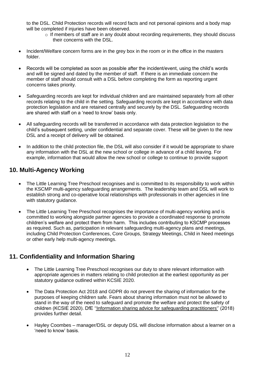to the DSL. Child Protection records will record facts and not personal opinions and a body map will be completed if injuries have been observed.

- $\circ$  If members of staff are in any doubt about recording requirements, they should discuss their concerns with the DSL.
- Incident/Welfare concern forms are in the grey box in the room or in the office in the masters folder.
- Records will be completed as soon as possible after the incident/event, using the child's words and will be signed and dated by the member of staff. If there is an immediate concern the member of staff should consult with a DSL before completing the form as reporting urgent concerns takes priority.
- Safeguarding records are kept for individual children and are maintained separately from all other records relating to the child in the setting. Safeguarding records are kept in accordance with data protection legislation and are retained centrally and securely by the DSL. Safeguarding records are shared with staff on a 'need to know' basis only.
- All safeguarding records will be transferred in accordance with data protection legislation to the child's subsequent setting, under confidential and separate cover. These will be given to the new DSL and a receipt of delivery will be obtained.
- In addition to the child protection file, the DSL will also consider if it would be appropriate to share any information with the DSL at the new school or college in advance of a child leaving. For example, information that would allow the new school or college to continue to provide support

#### **10. Multi-Agency Working**

- The Little Learning Tree Preschool recognises and is committed to its responsibility to work within the KSCMP multi-agency safeguarding arrangements. The leadership team and DSL will work to establish strong and co-operative local relationships with professionals in other agencies in line with statutory guidance.
- The Little Learning Tree Preschool recognises the importance of multi-agency working and is committed to working alongside partner agencies to provide a coordinated response to promote children's welfare and protect them from harm. This includes contributing to KSCMP processes as required. Such as, participation in relevant safeguarding multi-agency plans and meetings, including Child Protection Conferences, Core Groups, Strategy Meetings, Child in Need meetings or other early help multi-agency meetings.

#### **11. Confidentiality and Information Sharing**

- The Little Learning Tree Preschool recognises our duty to share relevant information with appropriate agencies in matters relating to child protection at the earliest opportunity as per statutory guidance outlined within KCSIE 2020.
- The Data Protection Act 2018 and GDPR do not prevent the sharing of information for the purposes of keeping children safe. Fears about sharing information must not be allowed to stand in the way of the need to safeguard and promote the welfare and protect the safety of children (KCSIE 2020). DfE [''Information sharing advice for safeguarding practitioners''](https://www.gov.uk/government/publications/safeguarding-practitioners-information-sharing-advice) (2018) provides further detail.
- Hayley Coombes manager/DSL or deputy DSL will disclose information about a learner on a 'need to know' basis.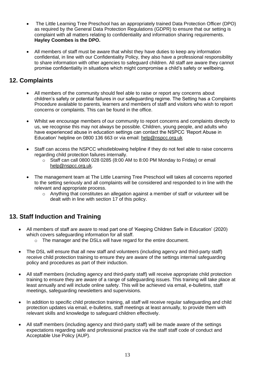- The Little Learning Tree Preschool has an appropriately trained Data Protection Officer (DPO) as required by the General Data Protection Regulations (GDPR) to ensure that our setting is complaint with all matters relating to confidentiality and information sharing requirements. **Hayley Coombes is the DPO.**
- All members of staff must be aware that whilst they have duties to keep any information confidential, in line with our Confidentiality Policy, they also have a professional responsibility to share information with other agencies to safeguard children. All staff are aware they cannot promise confidentiality in situations which might compromise a child's safety or wellbeing.

#### **12. Complaints**

- All members of the community should feel able to raise or report any concerns about children's safety or potential failures in our safeguarding regime. The Setting has a Complaints Procedure available to parents, learners and members of staff and visitors who wish to report concerns or complaints. This can be found in the office.
- Whilst we encourage members of our community to report concerns and complaints directly to us, we recognise this may not always be possible. Children, young people, and adults who have experienced abuse in education settings can contact the NSPCC 'Report Abuse in Education' helpline on [0800 136 663](tel:0800%20136%20663) or via email: [help@nspcc.org.uk](mailto:help@nspcc.org.uk)
- Staff can access the NSPCC whistleblowing helpline if they do not feel able to raise concerns regarding child protection failures internally.
	- o Staff can call 0800 028 0285 (8:00 AM to 8:00 PM Monday to Friday) or email [help@nspcc.org.uk.](mailto:help@nspcc.org.uk)
- The management team at The Little Learning Tree Preschool will takes all concerns reported to the setting seriously and all complaints will be considered and responded to in line with the relevant and appropriate process.
	- o Anything that constitutes an allegation against a member of staff or volunteer will be dealt with in line with section 17 of this policy.

#### **13. Staff Induction and Training**

- All members of staff are aware to read part one of 'Keeping Children Safe in Education' (2020) which covers safeguarding information for all staff.
	- o The manager and the DSLs will have regard for the entire document.
- The DSL will ensure that all new staff and volunteers (including agency and third-party staff) receive child protection training to ensure they are aware of the settings internal safeguarding policy and procedures as part of their induction.
- All staff members (including agency and third-party staff) will receive appropriate child protection training to ensure they are aware of a range of safeguarding issues. This training will take place at least annually and will include online safety. This will be achieved via email, e-bulletins, staff meetings, safeguarding newsletters and supervisions.
- In addition to specific child protection training, all staff will receive regular safeguarding and child protection updates via email, e-bulletins, staff meetings at least annually, to provide them with relevant skills and knowledge to safeguard children effectively.
- All staff members (including agency and third-party staff) will be made aware of the settings expectations regarding safe and professional practice via the staff staff code of conduct and Acceptable Use Policy (AUP).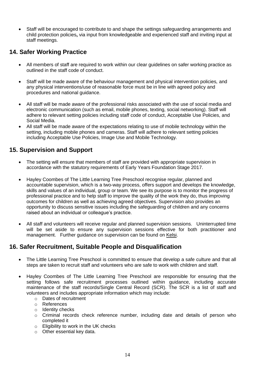• Staff will be encouraged to contribute to and shape the settings safeguarding arrangements and child protection policies**,** via input from knowledgeable and experienced staff and inviting input at staff meetings.

#### **14. Safer Working Practice**

- All members of staff are required to work within our clear guidelines on safer working practice as outlined in the staff code of conduct.
- Staff will be made aware of the behaviour management and physical intervention policies*,* and any physical interventions/use of reasonable force must be in line with agreed policy and procedures and national guidance.
- All staff will be made aware of the professional risks associated with the use of social media and electronic communication (such as email, mobile phones, texting, social networking). Staff will adhere to relevant setting policies including staff code of conduct, Acceptable Use Policies, and Social Media.
- All staff will be made aware of the expectations relating to use of mobile technology within the setting, including mobile phones and cameras. Staff will adhere to relevant setting policies including Acceptable Use Policies, Image Use and Mobile Technology.

#### **15. Supervision and Support**

- The setting will ensure that members of staff are provided with appropriate supervision in accordance with the statutory requirements of Early Years Foundation Stage 2017.
- Hayley Coombes of The Little Learning Tree Preschool recognise regular, planned and accountable supervision, which is a two-way process, offers support and develops the knowledge, skills and values of an individual, group or team. We see its purpose is to monitor the progress of professional practice and to help staff to improve the quality of the work they do, thus improving outcomes for children as well as achieving agreed objectives. Supervision also provides an opportunity to discuss sensitive issues including the safeguarding of children and any concerns raised about an individual or colleague's practice.
- All staff and volunteers will receive regular and planned supervision sessions. Uninterrupted time will be set aside to ensure any supervision sessions effective for both practitioner and management. Further guidance on supervision can be found on [Kelsi.](https://www.kelsi.org.uk/child-protection-and-safeguarding/safeguarding-policies-and-guidance)

#### **16. Safer Recruitment, Suitable People and Disqualification**

- The Little Learning Tree Preschool is committed to ensure that develop a safe culture and that all steps are taken to recruit staff and volunteers who are safe to work with children and staff.
- Hayley Coombes of The Little Learning Tree Preschool are responsible for ensuring that the setting follows safe recruitment processes outlined within guidance, including accurate maintenance of the staff records/Single Central Record (SCR). The SCR is a list of staff and volunteers and includes appropriate information which may include:
	- o Dates of recruitment
	- o References
	- o Identity checks
	- $\circ$  Criminal records check reference number, including date and details of person who completed it
	- o Eligibility to work in the UK checks
	- o Other essential key data.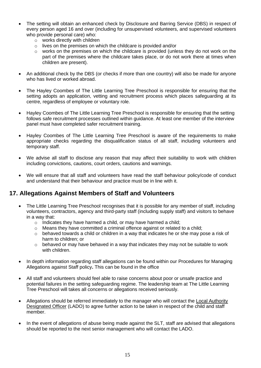- The setting will obtain an enhanced check by Disclosure and Barring Service (DBS) in respect of every person aged 16 and over (including for unsupervised volunteers, and supervised volunteers who provide personal care) who:
	- o works directly with children
	- o lives on the premises on which the childcare is provided and/or
	- $\circ$  works on the premises on which the childcare is provided (unless they do not work on the part of the premises where the childcare takes place, or do not work there at times when children are present).
- An additional check by the DBS (or checks if more than one country) will also be made for anyone who has lived or worked abroad.
- The Hayley Coombes of The Little Learning Tree Preschool is responsible for ensuring that the setting adopts an application, vetting and recruitment process which places safeguarding at its centre, regardless of employee or voluntary role.
- Hayley Coombes of The Little Learning Tree Preschool is responsible for ensuring that the setting follows safe recruitment processes outlined within guidance. At least one member of the interview panel must have completed safer recruitment training.
- Hayley Coombes of The Little Learning Tree Preschool is aware of the requirements to make appropriate checks regarding the disqualification status of all staff, including volunteers and temporary staff.
- We advise all staff to disclose any reason that may affect their suitability to work with children including convictions, cautions, court orders, cautions and warnings.
- We will ensure that all staff and volunteers have read the staff behaviour policy/code of conduct and understand that their behaviour and practice must be in line with it.

#### **17. Allegations Against Members of Staff and Volunteers**

- The Little Learning Tree Preschool recognises that it is possible for any member of staff, including volunteers, contractors, agency and third-party staff (including supply staff) and visitors to behave in a way that:
	- $\circ$  Indicates they have harmed a child, or may have harmed a child;
	- $\circ$  Means they have committed a criminal offence against or related to a child;
	- $\circ$  behaved towards a child or children in a way that indicates he or she may pose a risk of harm to children; or
	- o behaved or may have behaved in a way that indicates they may not be suitable to work with children.
- In depth information regarding staff allegations can be found within our Procedures for Managing Allegations against Staff policy**.** This can be found in the office
- All staff and volunteers should feel able to raise concerns about poor or unsafe practice and potential failures in the setting safeguarding regime. The leadership team at The Little Learning Tree Preschool will takes all concerns or allegations received seriously.
- Allegations should be referred immediately to the manager who will contact the [Local Authority](https://www.kscmp.org.uk/procedures/local-authority-designated-officer-lado)  [Designated Officer](https://www.kscmp.org.uk/procedures/local-authority-designated-officer-lado) (LADO) to agree further action to be taken in respect of the child and staff member.
- In the event of allegations of abuse being made against the SLT, staff are advised that allegations should be reported to the next senior management who will contact the LADO.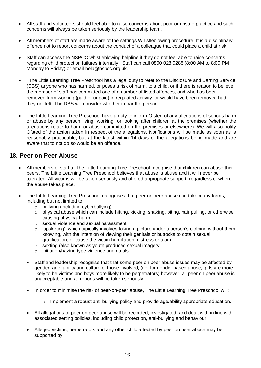- All staff and volunteers should feel able to raise concerns about poor or unsafe practice and such concerns will always be taken seriously by the leadership team.
- All members of staff are made aware of the settings Whistleblowing procedure. It is a disciplinary offence not to report concerns about the conduct of a colleague that could place a child at risk.
- Staff can access the NSPCC whistleblowing helpline if they do not feel able to raise concerns regarding child protection failures internally. Staff can call 0800 028 0285 (8:00 AM to 8:00 PM Monday to Friday) or email [help@nspcc.org.uk.](mailto:help@nspcc.org.uk)
- The Little Learning Tree Preschool has a legal duty to refer to the Disclosure and Barring Service (DBS) anyone who has harmed, or poses a risk of harm, to a child, or if there is reason to believe the member of staff has committed one of a number of listed offences, and who has been removed from working (paid or unpaid) in regulated activity, or would have been removed had they not left. The DBS will consider whether to bar the person.
- The Little Learning Tree Preschool have a duty to inform Ofsted of any allegations of serious harm or abuse by any person living, working, or looking after children at the premises (whether the allegations relate to harm or abuse committed on the premises or elsewhere). We will also notify Ofsted of the action taken in respect of the allegations. Notifications will be made as soon as is reasonably practicable, but at the latest within 14 days of the allegations being made and are aware that to not do so would be an offence.

#### **18. Peer on Peer Abuse**

- All members of staff at The Little Learning Tree Preschool recognise that children can abuse their peers. The Little Learning Tree Preschool believes that abuse is abuse and it will never be tolerated. All victims will be taken seriously and offered appropriate support, regardless of where the abuse takes place.
- The Little Learning Tree Preschool recognises that peer on peer abuse can take many forms, including but not limited to:
	- o bullying (including cyberbullying)
	- o physical abuse which can include hitting, kicking, shaking, biting, hair pulling, or otherwise causing physical harm
	- o sexual violence and sexual harassment
	- $\circ$  'upskirting', which typically involves taking a picture under a person's clothing without them knowing, with the intention of viewing their genitals or buttocks to obtain sexual gratification, or cause the victim humiliation, distress or alarm
	- o sexting (also known as youth produced sexual imagery
	- o initiation/hazing type violence and rituals
	- Staff and leadership recognise that that some peer on peer abuse issues may be affected by gender, age, ability and culture of those involved, (i.e. for gender based abuse, girls are more likely to be victims and boys more likely to be perpetrators) however, all peer on peer abuse is unacceptable and all reports will be taken seriously.
	- In order to minimise the risk of peer-on-peer abuse, The Little Learning Tree Preschool will:
		- $\circ$  Implement a robust anti-bullying policy and provide age/ability appropriate education.
	- All allegations of peer on peer abuse will be recorded, investigated, and dealt with in line with associated setting policies, including child protection, anti-bullying and behaviour.
	- Alleged victims, perpetrators and any other child affected by peer on peer abuse may be supported by: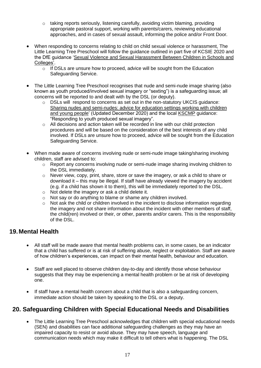- o taking reports seriously, listening carefully, avoiding victim blaming, providing appropriate pastoral support, working with parents/carers, reviewing educational approaches, and in cases of sexual assault, informing the police and/or Front Door*.*
- When responding to concerns relating to child on child sexual violence or harassment, The Little Learning Tree Preschool will follow the guidance outlined in part five of KCSIE 2020 and the DfE guidance ['Sexual Violence and Sexual Harassment Between Children in Schools and](https://www.gov.uk/government/publications/sexual-violence-and-sexual-harassment-between-children-in-schools-and-colleges)  [Colleges'.](https://www.gov.uk/government/publications/sexual-violence-and-sexual-harassment-between-children-in-schools-and-colleges)
	- $\circ$  If DSLs are unsure how to proceed, advice will be sought from the Education Safeguarding Service.
- The Little Learning Tree Preschool recognises that nude and semi-nude image sharing (also known as youth produced/involved sexual imagery or "sexting") is a safeguarding issue; all concerns will be reported to and dealt with by the DSL (or deputy).
	- o DSLs will respond to concerns as set out in the non-statutory UKCIS guidance: [Sharing nudes and semi-nudes: advice for education settings working with children](https://www.gov.uk/government/publications/sharing-nudes-and-semi-nudes-advice-for-education-settings-working-with-children-and-young-people)  [and young people'](https://www.gov.uk/government/publications/sharing-nudes-and-semi-nudes-advice-for-education-settings-working-with-children-and-young-people) (Updated December 2020) and the local [KSCMP](http://www.kscb.org.uk/guidance/online-safety) guidance: "Responding to youth produced sexual imagery".
	- o All decisions and action taken will be recorded in line with our child protection procedures and will be based on the consideration of the best interests of any child involved. If DSLs are unsure how to proceed, advice will be sought from the Education Safeguarding Service.
- When made aware of concerns involving nude or semi-nude image taking/sharing involving children, staff are advised to:
	- $\circ$  Report any concerns involving nude or semi-nude image sharing involving children to the DSL immediately.
	- $\circ$  Never view, copy, print, share, store or save the imagery, or ask a child to share or download it – this may be illegal. If staff have already viewed the imagery by accident (e.g. if a child has shown it to them), this will be immediately reported to the DSL.
	- o Not delete the imagery or ask a child delete it.
	- o Not say or do anything to blame or shame any children involved.
	- o Not ask the child or children involved in the incident to disclose information regarding the imagery and not share information about the incident with other members of staff, the child(ren) involved or their, or other, parents and/or carers. This is the responsibility of the DSL.

#### **19.Mental Health**

- All staff will be made aware that mental health problems can, in some cases, be an indicator that a child has suffered or is at risk of suffering abuse, neglect or exploitation. Staff are aware of how children's experiences, can impact on their mental health, behaviour and education.
- Staff are well placed to observe children day-to-day and identify those whose behaviour suggests that they may be experiencing a mental health problem or be at risk of developing one.
- If staff have a mental health concern about a child that is also a safeguarding concern, immediate action should be taken by speaking to the DSL or a deputy.

#### **20. Safeguarding Children with Special Educational Needs and Disabilities**

• The Little Learning Tree Preschool acknowledges that children with special educational needs (SEN) and disabilities can face additional safeguarding challenges as they may have an impaired capacity to resist or avoid abuse. They may have speech, language and communication needs which may make it difficult to tell others what is happening. The DSL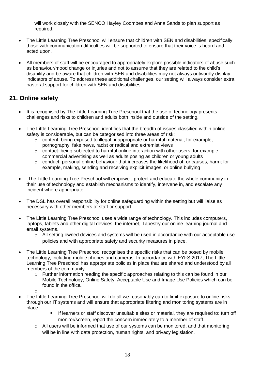will work closely with the SENCO Hayley Coombes and Anna Sands to plan support as required.

- The Little Learning Tree Preschool will ensure that children with SEN and disabilities, specifically those with communication difficulties will be supported to ensure that their voice is heard and acted upon.
- All members of staff will be encouraged to appropriately explore possible indicators of abuse such as behaviour/mood change or injuries and not to assume that they are related to the child's disability and be aware that children with SEN and disabilities may not always outwardly display indicators of abuse. To address these additional challenges, our setting will always consider extra pastoral support for children with SEN and disabilities.

#### **21. Online safety**

- It is recognised by The Little Learning Tree Preschool that the use of technology presents challenges and risks to children and adults both inside and outside of the setting.
- The Little Learning Tree Preschool identifies that the breadth of issues classified within online safety is considerable, but can be categorised into three areas of risk:
	- $\circ$  content: being exposed to illegal, inappropriate or harmful material; for example, pornography, fake news, racist or radical and extremist views
	- $\circ$  contact: being subjected to harmful online interaction with other users; for example, commercial advertising as well as adults posing as children or young adults
	- $\circ$  conduct: personal online behaviour that increases the likelihood of, or causes, harm; for example, making, sending and receiving explicit images, or online bullying
- [The Little Learning Tree Preschool will empower, protect and educate the whole community in their use of technology and establish mechanisms to identify, intervene in, and escalate any incident where appropriate.
- The DSL has overall responsibility for online safeguarding within the setting but will liaise as necessary with other members of staff or support.
- The Little Learning Tree Preschool uses a wide range of technology. This includes computers, laptops, tablets and other digital devices, the internet, Tapestry our online learning journal and email systems.
	- o All setting owned devices and systems will be used in accordance with our acceptable use policies and with appropriate safety and security measures in place.
- The Little Learning Tree Preschool recognises the specific risks that can be posed by mobile technology, including mobile phones and cameras. In accordance with EYFS 2017, The Little Learning Tree Preschool has appropriate policies in place that are shared and understood by all members of the community.
	- $\circ$  Further information reading the specific approaches relating to this can be found in our Mobile Technology, Online Safety, Acceptable Use and Image Use Policies which can be found in the office*.*
	- o
- The Little Learning Tree Preschool will do all we reasonably can to limit exposure to online risks through our IT systems and will ensure that appropriate filtering and monitoring systems are in place.
	- If learners or staff discover unsuitable sites or material, they are required to: turn off monitor/screen, report the concern immediately to a member of staff.
	- $\circ$  All users will be informed that use of our systems can be monitored, and that monitoring will be in line with data protection, human rights, and privacy legislation.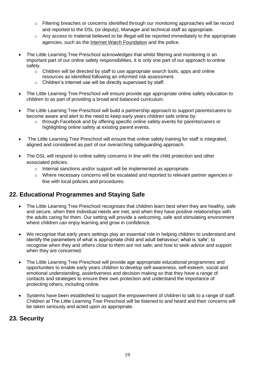- o Filtering breaches or concerns identified through our monitoring approaches will be record and reported to the DSL (or deputy), Manager and technical staff as appropriate.
- o Any access to material believed to be illegal will be reported immediately to the appropriate agencies, such as the [Internet Watch Foundation](https://www.iwf.org.uk/) and the police.
- The Little Learning Tree Preschool acknowledges that whilst filtering and monitoring is an important part of our online safety responsibilities, it is only one part of our approach to online safety.
	- $\circ$  Children will be directed by staff to use appropriate search tools, apps and online resources as identified following an informed risk assessment.
	- o Children's internet use will be directly supervised by staff.
- The Little Learning Tree Preschool will ensure provide age appropriate online safety education to children to as part of providing a broad and balanced curriculum.
- The Little Learning Tree Preschool will build a partnership approach to support parents/carers to become aware and alert to the need to keep early years children safe online by:
	- o through Facebook and by offering specific online safety events for parents/carers or highlighting online safety at existing parent events.
- The Little Learning Tree Preschool will ensure that online safety training for staff is integrated, aligned and considered as part of our overarching safeguarding approach.
- The DSL will respond to online safety concerns in line with the child protection and other associated policies.
	- o Internal sanctions and/or support will be implemented as appropriate.
	- $\circ$  Where necessary concerns will be escalated and reported to relevant partner agencies in line with local policies and procedures.

#### **22. Educational Programmes and Staying Safe**

- The Little Learning Tree Preschool recognises that children learn best when they are healthy, safe and secure, when their individual needs are met, and when they have positive relationships with the adults caring for them. Our setting will provide a welcoming, safe and stimulating environment where children can enjoy learning and grow in confidence.
- We recognise that early years settings play an essential role in helping children to understand and identify the parameters of what is appropriate child and adult behaviour; what is 'safe'; to recognise when they and others close to them are not safe; and how to seek advice and support when they are concerned.
- The Little Learning Tree Preschool will provide age appropriate educational programmes and opportunities to enable early years children to develop self-awareness, self-esteem, social and emotional understanding, assertiveness and decision making so that they have a range of contacts and strategies to ensure their own protection and understand the importance of protecting others, including online.
- Systems have been established to support the empowerment of children to talk to a range of staff. Children at The Little Learning Tree Preschool will be listened to and heard and their concerns will be taken seriously and acted upon as appropriate.

#### **23. Security**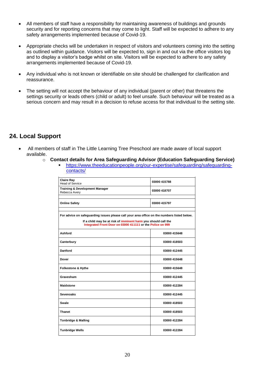- All members of staff have a responsibility for maintaining awareness of buildings and grounds security and for reporting concerns that may come to light. Staff will be expected to adhere to any safety arrangements implemented because of Covid-19.
- Appropriate checks will be undertaken in respect of visitors and volunteers coming into the setting as outlined within guidance. Visitors will be expected to, sign in and out via the office visitors log and to display a visitor's badge whilst on site. Visitors will be expected to adhere to any safety arrangements implemented because of Covid-19.
- Any individual who is not known or identifiable on site should be challenged for clarification and reassurance.
- The setting will not accept the behaviour of any individual (parent or other) that threatens the settings security or leads others (child or adult) to feel unsafe. Such behaviour will be treated as a serious concern and may result in a decision to refuse access for that individual to the setting site.

#### **24. Local Support**

- All members of staff in The Little Learning Tree Preschool are made aware of local support available.
	- o **Contact details for Area Safeguarding Advisor (Education Safeguarding Service)**
		- [https://www.theeducationpeople.org/our-expertise/safeguarding/safeguarding-](https://www.theeducationpeople.org/our-expertise/safeguarding/safeguarding-contacts/) $\overline{\text{constants}}$

| <b>Claire Ray</b><br><b>Head of Service</b>                                                                                  | 03000 415788 |  |  |
|------------------------------------------------------------------------------------------------------------------------------|--------------|--|--|
| <b>Training &amp; Development Manager</b><br>Rebecca Avery                                                                   | 03000 418707 |  |  |
|                                                                                                                              |              |  |  |
| <b>Online Safety</b>                                                                                                         | 03000 415797 |  |  |
| For advice on safeguarding issues please call your area office on the numbers listed below.                                  |              |  |  |
| If a child may be at risk of imminent harm you should call the<br>Integrated Front Door on 03000 411111 or the Police on 999 |              |  |  |
| Ashford                                                                                                                      | 03000 415648 |  |  |
| Canterbury                                                                                                                   | 03000 418503 |  |  |
| Dartford                                                                                                                     | 03000 412445 |  |  |
| Dover                                                                                                                        | 03000 415648 |  |  |
| Folkestone & Hythe                                                                                                           | 03000 415648 |  |  |
| Gravesham                                                                                                                    | 03000 412445 |  |  |
| <b>Maidstone</b>                                                                                                             | 03000 412284 |  |  |
| <b>Sevenoaks</b>                                                                                                             | 03000 412445 |  |  |
| <b>Swale</b>                                                                                                                 | 03000 418503 |  |  |
| <b>Thanet</b>                                                                                                                | 03000 418503 |  |  |
| <b>Tonbridge &amp; Malling</b>                                                                                               | 03000 412284 |  |  |
| <b>Tunbridge Wells</b>                                                                                                       | 03000 412284 |  |  |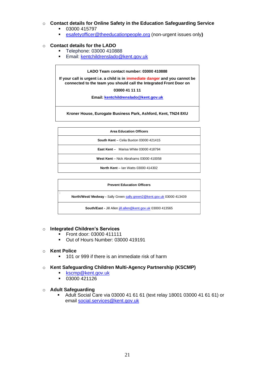#### o **Contact details for Online Safety in the Education Safeguarding Service**

- 03000 415797
- [esafetyofficer@theeducationpeople.org](mailto:esafetyofficer@theeducationpeople.org) (non-urgent issues only**)**

#### o **Contact details for the LADO**

- Telephone: 03000 410888
- **Email: [kentchildrenslado@kent.gov.uk](mailto:kentchildrenslado@kent.gov.uk)**

#### **LADO Team contact number: 03000 410888**

**If your call is urgent i.e. a child is in immediate danger and you cannot be connected to the team you should call the Integrated Front Door on**

**03000 41 11 11**

**Email: kentchildrenslado@kent.gov.uk**

**Kroner House, Eurogate Business Park, Ashford, Kent, TN24 8XU**

| <b>Prevent Education Officers</b>                                      |  |  |
|------------------------------------------------------------------------|--|--|
| North/West/ Medway - Sally Green sally.green2@kent.gov.uk 03000 413439 |  |  |
| South/East - Jill Allen jill.allen@kent.gov.uk 03000 413565            |  |  |

#### o **Integrated Children's Services**

- **•** Front door: 03000 411111
- Out of Hours Number: 03000 419191

#### o **Kent Police**

■ 101 or 999 if there is an immediate risk of harm

#### o **Kent Safeguarding Children Multi-Agency Partnership (KSCMP)**

- [kscmp@kent.gov.uk](mailto:kscmp@kent.gov.uk)
- 03000 421126
- o **Adult Safeguarding**
	- Adult Social Care via 03000 41 61 61 (text relay 18001 03000 41 61 61) or email [social.services@kent.gov.uk](mailto:social.services@kent.gov.uk)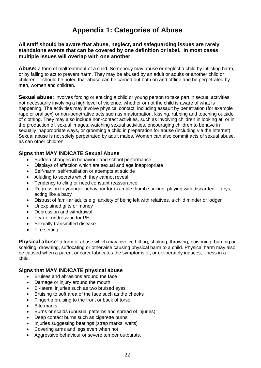### **Appendix 1: Categories of Abuse**

#### **All staff should be aware that abuse, neglect, and safeguarding issues are rarely standalone events that can be covered by one definition or label. In most cases multiple issues will overlap with one another.**

**Abuse:** a form of maltreatment of a child. Somebody may abuse or neglect a child by inflicting harm, or by failing to act to prevent harm. They may be abused by an adult or adults or another child or children. It should be noted that abuse can be carried out both on and offline and be perpetrated by men, women and children.

**Sexual abuse:** involves forcing or enticing a child or young person to take part in sexual activities, not necessarily involving a high level of violence, whether or not the child is aware of what is happening. The activities may involve physical contact, including assault by penetration (for example rape or oral sex) or non-penetrative acts such as masturbation, kissing, rubbing and touching outside of clothing. They may also include non-contact activities, such as involving children in looking at, or in the production of, sexual images, watching sexual activities, encouraging children to behave in sexually inappropriate ways, or grooming a child in preparation for abuse (including via the internet). Sexual abuse is not solely perpetrated by adult males. Women can also commit acts of sexual abuse, as can other children.

#### **Signs that MAY INDICATE Sexual Abuse**

- Sudden changes in behaviour and school performance
- Displays of affection which are sexual and age inappropriate
- Self-harm, self-mutilation or attempts at suicide
- Alluding to secrets which they cannot reveal
- Tendency to cling or need constant reassurance
- Regression to younger behaviour for example thumb sucking, playing with discarded toys, acting like a baby
- Distrust of familiar adults e.g. anxiety of being left with relatives, a child minder or lodger
- Unexplained gifts or money
- Depression and withdrawal
- Fear of undressing for PE
- Sexually transmitted disease
- Fire setting

**Physical abuse**: a form of abuse which may involve hitting, shaking, throwing, poisoning, burning or scalding, drowning, suffocating or otherwise causing physical harm to a child. Physical harm may also be caused when a parent or carer fabricates the symptoms of, or deliberately induces, illness in a child.

#### **Signs that MAY INDICATE physical abuse**

- Bruises and abrasions around the face
- Damage or injury around the mouth
- Bi-lateral injuries such as two bruised eyes
- Bruising to soft area of the face such as the cheeks
- Fingertip bruising to the front or back of torso
- **Bite marks**
- Burns or scalds (unusual patterns and spread of injuries)
- Deep contact burns such as cigarette burns
- Injuries suggesting beatings (strap marks, welts)
- Covering arms and legs even when hot
- Aggressive behaviour or severe temper outbursts.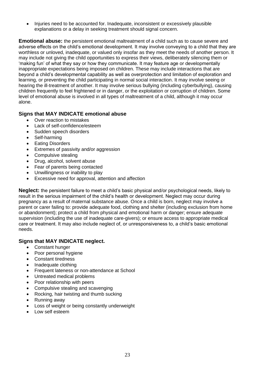• Injuries need to be accounted for. Inadequate, inconsistent or excessively plausible explanations or a delay in seeking treatment should signal concern.

**Emotional abuse:** the persistent emotional maltreatment of a child such as to cause severe and adverse effects on the child's emotional development. It may involve conveying to a child that they are worthless or unloved, inadequate, or valued only insofar as they meet the needs of another person. It may include not giving the child opportunities to express their views, deliberately silencing them or 'making fun' of what they say or how they communicate. It may feature age or developmentally inappropriate expectations being imposed on children. These may include interactions that are beyond a child's developmental capability as well as overprotection and limitation of exploration and learning, or preventing the child participating in normal social interaction. It may involve seeing or hearing the ill-treatment of another. It may involve serious bullying (including cyberbullying), causing children frequently to feel frightened or in danger, or the exploitation or corruption of children. Some level of emotional abuse is involved in all types of maltreatment of a child, although it may occur alone.

#### **Signs that MAY INDICATE emotional abuse**

- Over reaction to mistakes
- Lack of self-confidence/esteem
- Sudden speech disorders
- Self-harming
- **Eating Disorders**
- Extremes of passivity and/or aggression
- Compulsive stealing
- Drug, alcohol, solvent abuse
- Fear of parents being contacted
- Unwillingness or inability to play
- Excessive need for approval, attention and affection

**Neglect:** the persistent failure to meet a child's basic physical and/or psychological needs, likely to result in the serious impairment of the child's health or development. Neglect may occur during pregnancy as a result of maternal substance abuse. Once a child is born, neglect may involve a parent or carer failing to: provide adequate food, clothing and shelter (including exclusion from home or abandonment); protect a child from physical and emotional harm or danger; ensure adequate supervision (including the use of inadequate care-givers); or ensure access to appropriate medical care or treatment. It may also include neglect of, or unresponsiveness to, a child's basic emotional needs.

#### **Signs that MAY INDICATE neglect.**

- Constant hunger
- Poor personal hygiene
- Constant tiredness
- Inadequate clothing
- Frequent lateness or non-attendance at School
- Untreated medical problems
- Poor relationship with peers
- Compulsive stealing and scavenging
- Rocking, hair twisting and thumb sucking
- Running away
- Loss of weight or being constantly underweight
- Low self esteem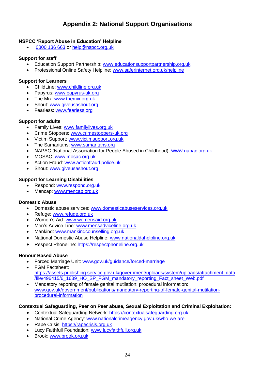#### **Appendix 2: National Support Organisations**

#### **NSPCC 'Report Abuse in Education' Helpline**

[0800 136 663](tel:0800%20136%20663) or [help@nspcc.org.uk](mailto:help@nspcc.org.uk)

#### **Support for staff**

- Education Support Partnership: [www.educationsupportpartnership.org.uk](http://www.educationsupportpartnership.org.uk/)
- Professional Online Safety Helpline: [www.saferinternet.org.uk/helpline](http://www.saferinternet.org.uk/helpline)

#### **Support for Learners**

- ChildLine: [www.childline.org.uk](http://www.childline.org.uk/)
- Papyrus: [www.papyrus-uk.org](http://www.papyrus-uk.org/)
- The Mix: [www.themix.org.uk](http://www.themix.org.uk/)
- Shout: [www.giveusashout.org](http://www.giveusashout.org/)
- Fearless: [www.fearless.org](http://www.fearless.org/)

#### **Support for adults**

- Family Lives: [www.familylives.org.uk](http://www.familylives.org.uk/)
- Crime Stoppers: [www.crimestoppers-uk.org](http://www.crimestoppers-uk.org/)
- Victim Support: [www.victimsupport.org.uk](http://www.victimsupport.org.uk/)
- The Samaritans: [www.samaritans.org](http://www.samaritans.org/)
- NAPAC (National Association for People Abused in Childhood): www.napac.org.uk
- MOSAC: [www.mosac.org.uk](http://www.mosac.org.uk/)
- Action Fraud: [www.actionfraud.police.uk](http://www.actionfraud.police.uk/)
- Shout: [www.giveusashout.org](http://www.giveusashout.org/)

#### **Support for Learning Disabilities**

- Respond: [www.respond.org.uk](http://www.respond.org.uk/)
- Mencap: [www.mencap.org.uk](http://www.mencap.org.uk/)

#### **Domestic Abuse**

- Domestic abuse services: [www.domesticabuseservices.org.uk](http://www.domesticabuseservices.org.uk/)
- Refuge: [www.refuge.org.uk](http://www.refuge.org.uk/)
- Women's Aid: [www.womensaid.org.uk](http://www.womensaid.org.uk/)
- Men's Advice Line: [www.mensadviceline.org.uk](http://www.mensadviceline.org.uk/)
- Mankind: [www.mankindcounselling.org.uk](http://www.mankindcounselling.org.uk/)
- National Domestic Abuse Helpline: [www.nationaldahelpline.org.uk](http://www.nationaldahelpline.org.uk/)
- Respect Phoneline: [https://respectphoneline.org.uk](https://respectphoneline.org.uk/)

#### **Honour Based Abuse**

- Forced Marriage Unit: [www.gov.uk/guidance/forced-marriage](http://www.gov.uk/guidance/forced-marriage)
- FGM Factsheet: [https://assets.publishing.service.gov.uk/government/uploads/system/uploads/attachment\\_data](https://assets.publishing.service.gov.uk/government/uploads/system/uploads/attachment_data/file/496415/6_1639_HO_SP_FGM_mandatory_reporting_Fact_sheet_Web.pdf) [/file/496415/6\\_1639\\_HO\\_SP\\_FGM\\_mandatory\\_reporting\\_Fact\\_sheet\\_Web.pdf](https://assets.publishing.service.gov.uk/government/uploads/system/uploads/attachment_data/file/496415/6_1639_HO_SP_FGM_mandatory_reporting_Fact_sheet_Web.pdf)
- Mandatory reporting of female genital mutilation: procedural information: [www.gov.uk/government/publications/mandatory-reporting-of-female-genital-mutilation](http://www.gov.uk/government/publications/mandatory-reporting-of-female-genital-mutilation-procedural-information)[procedural-information](http://www.gov.uk/government/publications/mandatory-reporting-of-female-genital-mutilation-procedural-information)

#### **Contextual Safeguarding, Peer on Peer abuse, Sexual Exploitation and Criminal Exploitation:**

- Contextual Safeguarding Network: [https://contextualsafeguarding.org.uk](https://contextualsafeguarding.org.uk/)
- National Crime Agency: [www.nationalcrimeagency.gov.uk/who-we-are](http://www.nationalcrimeagency.gov.uk/who-we-are)
- Rape Crisis: [https://rapecrisis.org.uk](https://rapecrisis.org.uk/)
- Lucy Faithfull Foundation: [www.lucyfaithfull.org.uk](http://www.lucyfaithfull.org.uk/)
- Brook: [www.brook.org.uk](http://www.brook.org.uk/)